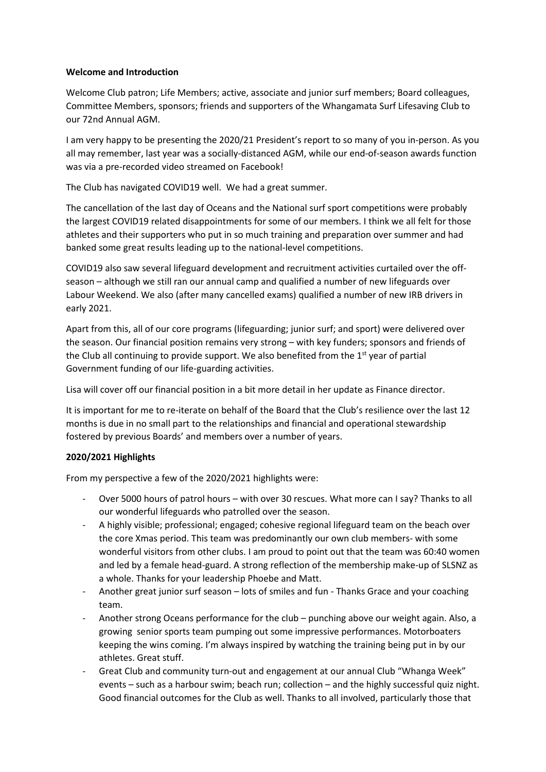## **Welcome and Introduction**

Welcome Club patron; Life Members; active, associate and junior surf members; Board colleagues, Committee Members, sponsors; friends and supporters of the Whangamata Surf Lifesaving Club to our 72nd Annual AGM.

I am very happy to be presenting the 2020/21 President's report to so many of you in-person. As you all may remember, last year was a socially-distanced AGM, while our end-of-season awards function was via a pre-recorded video streamed on Facebook!

The Club has navigated COVID19 well. We had a great summer.

The cancellation of the last day of Oceans and the National surf sport competitions were probably the largest COVID19 related disappointments for some of our members. I think we all felt for those athletes and their supporters who put in so much training and preparation over summer and had banked some great results leading up to the national-level competitions.

COVID19 also saw several lifeguard development and recruitment activities curtailed over the offseason – although we still ran our annual camp and qualified a number of new lifeguards over Labour Weekend. We also (after many cancelled exams) qualified a number of new IRB drivers in early 2021.

Apart from this, all of our core programs (lifeguarding; junior surf; and sport) were delivered over the season. Our financial position remains very strong – with key funders; sponsors and friends of the Club all continuing to provide support. We also benefited from the  $1<sup>st</sup>$  year of partial Government funding of our life-guarding activities.

Lisa will cover off our financial position in a bit more detail in her update as Finance director.

It is important for me to re-iterate on behalf of the Board that the Club's resilience over the last 12 months is due in no small part to the relationships and financial and operational stewardship fostered by previous Boards' and members over a number of years.

# **2020/2021 Highlights**

From my perspective a few of the 2020/2021 highlights were:

- Over 5000 hours of patrol hours with over 30 rescues. What more can I say? Thanks to all our wonderful lifeguards who patrolled over the season.
- A highly visible; professional; engaged; cohesive regional lifeguard team on the beach over the core Xmas period. This team was predominantly our own club members- with some wonderful visitors from other clubs. I am proud to point out that the team was 60:40 women and led by a female head-guard. A strong reflection of the membership make-up of SLSNZ as a whole. Thanks for your leadership Phoebe and Matt.
- Another great junior surf season lots of smiles and fun Thanks Grace and your coaching team.
- Another strong Oceans performance for the club punching above our weight again. Also, a growing senior sports team pumping out some impressive performances. Motorboaters keeping the wins coming. I'm always inspired by watching the training being put in by our athletes. Great stuff.
- Great Club and community turn-out and engagement at our annual Club "Whanga Week" events – such as a harbour swim; beach run; collection – and the highly successful quiz night. Good financial outcomes for the Club as well. Thanks to all involved, particularly those that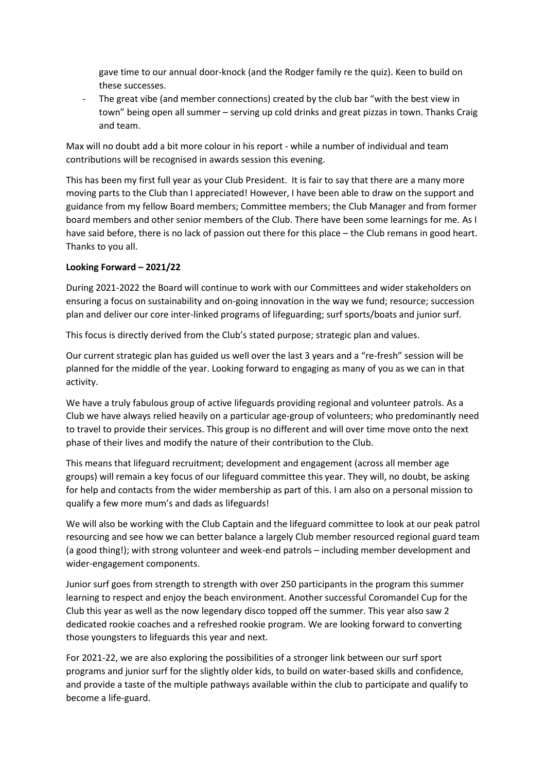gave time to our annual door-knock (and the Rodger family re the quiz). Keen to build on these successes.

- The great vibe (and member connections) created by the club bar "with the best view in town" being open all summer – serving up cold drinks and great pizzas in town. Thanks Craig and team.

Max will no doubt add a bit more colour in his report - while a number of individual and team contributions will be recognised in awards session this evening.

This has been my first full year as your Club President. It is fair to say that there are a many more moving parts to the Club than I appreciated! However, I have been able to draw on the support and guidance from my fellow Board members; Committee members; the Club Manager and from former board members and other senior members of the Club. There have been some learnings for me. As I have said before, there is no lack of passion out there for this place – the Club remans in good heart. Thanks to you all.

# **Looking Forward – 2021/22**

During 2021-2022 the Board will continue to work with our Committees and wider stakeholders on ensuring a focus on sustainability and on-going innovation in the way we fund; resource; succession plan and deliver our core inter-linked programs of lifeguarding; surf sports/boats and junior surf.

This focus is directly derived from the Club's stated purpose; strategic plan and values.

Our current strategic plan has guided us well over the last 3 years and a "re-fresh" session will be planned for the middle of the year. Looking forward to engaging as many of you as we can in that activity.

We have a truly fabulous group of active lifeguards providing regional and volunteer patrols. As a Club we have always relied heavily on a particular age-group of volunteers; who predominantly need to travel to provide their services. This group is no different and will over time move onto the next phase of their lives and modify the nature of their contribution to the Club.

This means that lifeguard recruitment; development and engagement (across all member age groups) will remain a key focus of our lifeguard committee this year. They will, no doubt, be asking for help and contacts from the wider membership as part of this. I am also on a personal mission to qualify a few more mum's and dads as lifeguards!

We will also be working with the Club Captain and the lifeguard committee to look at our peak patrol resourcing and see how we can better balance a largely Club member resourced regional guard team (a good thing!); with strong volunteer and week-end patrols – including member development and wider-engagement components.

Junior surf goes from strength to strength with over 250 participants in the program this summer learning to respect and enjoy the beach environment. Another successful Coromandel Cup for the Club this year as well as the now legendary disco topped off the summer. This year also saw 2 dedicated rookie coaches and a refreshed rookie program. We are looking forward to converting those youngsters to lifeguards this year and next.

For 2021-22, we are also exploring the possibilities of a stronger link between our surf sport programs and junior surf for the slightly older kids, to build on water-based skills and confidence, and provide a taste of the multiple pathways available within the club to participate and qualify to become a life-guard.